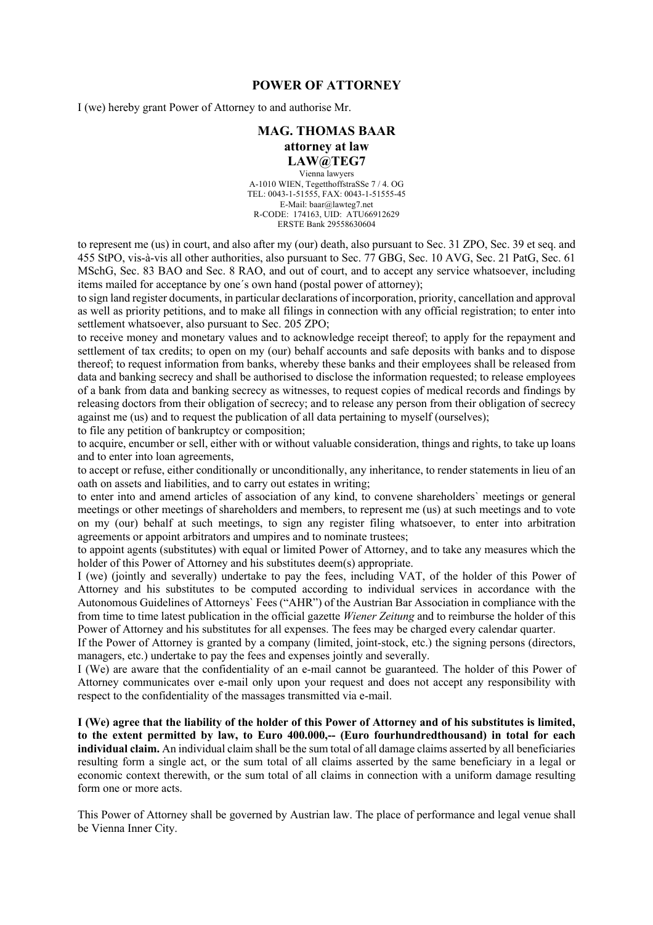## **POWER OF ATTORNEY**

I (we) hereby grant Power of Attorney to and authorise Mr.

## **MAG. THOMAS BAAR attorney at law LAW@TEG7**

Vienna lawyers A-1010 WIEN, TegetthoffstraSSe 7 / 4. OG TEL: 0043-1-51555, FAX: 0043-1-51555-45 E-Mail: baar@lawteg7.net R-CODE: 174163, UID: ATU66912629 ERSTE Bank 29558630604

to represent me (us) in court, and also after my (our) death, also pursuant to Sec. 31 ZPO, Sec. 39 et seq. and 455 StPO, vis-à-vis all other authorities, also pursuant to Sec. 77 GBG, Sec. 10 AVG, Sec. 21 PatG, Sec. 61 MSchG, Sec. 83 BAO and Sec. 8 RAO, and out of court, and to accept any service whatsoever, including items mailed for acceptance by one´s own hand (postal power of attorney);

to sign land register documents, in particular declarations of incorporation, priority, cancellation and approval as well as priority petitions, and to make all filings in connection with any official registration; to enter into settlement whatsoever, also pursuant to Sec. 205 ZPO;

to receive money and monetary values and to acknowledge receipt thereof; to apply for the repayment and settlement of tax credits; to open on my (our) behalf accounts and safe deposits with banks and to dispose thereof; to request information from banks, whereby these banks and their employees shall be released from data and banking secrecy and shall be authorised to disclose the information requested; to release employees of a bank from data and banking secrecy as witnesses, to request copies of medical records and findings by releasing doctors from their obligation of secrecy; and to release any person from their obligation of secrecy against me (us) and to request the publication of all data pertaining to myself (ourselves);

to file any petition of bankruptcy or composition;

to acquire, encumber or sell, either with or without valuable consideration, things and rights, to take up loans and to enter into loan agreements,

to accept or refuse, either conditionally or unconditionally, any inheritance, to render statements in lieu of an oath on assets and liabilities, and to carry out estates in writing;

to enter into and amend articles of association of any kind, to convene shareholders` meetings or general meetings or other meetings of shareholders and members, to represent me (us) at such meetings and to vote on my (our) behalf at such meetings, to sign any register filing whatsoever, to enter into arbitration agreements or appoint arbitrators and umpires and to nominate trustees;

to appoint agents (substitutes) with equal or limited Power of Attorney, and to take any measures which the holder of this Power of Attorney and his substitutes deem(s) appropriate.

I (we) (jointly and severally) undertake to pay the fees, including VAT, of the holder of this Power of Attorney and his substitutes to be computed according to individual services in accordance with the Autonomous Guidelines of Attorneys` Fees ("AHR") of the Austrian Bar Association in compliance with the from time to time latest publication in the official gazette *Wiener Zeitung* and to reimburse the holder of this Power of Attorney and his substitutes for all expenses. The fees may be charged every calendar quarter.

If the Power of Attorney is granted by a company (limited, joint-stock, etc.) the signing persons (directors, managers, etc.) undertake to pay the fees and expenses jointly and severally.

I (We) are aware that the confidentiality of an e-mail cannot be guaranteed. The holder of this Power of Attorney communicates over e-mail only upon your request and does not accept any responsibility with respect to the confidentiality of the massages transmitted via e-mail.

**I (We) agree that the liability of the holder of this Power of Attorney and of his substitutes is limited, to the extent permitted by law, to Euro 400.000,-- (Euro fourhundredthousand) in total for each individual claim.** An individual claim shall be the sum total of all damage claims asserted by all beneficiaries resulting form a single act, or the sum total of all claims asserted by the same beneficiary in a legal or economic context therewith, or the sum total of all claims in connection with a uniform damage resulting form one or more acts.

This Power of Attorney shall be governed by Austrian law. The place of performance and legal venue shall be Vienna Inner City.